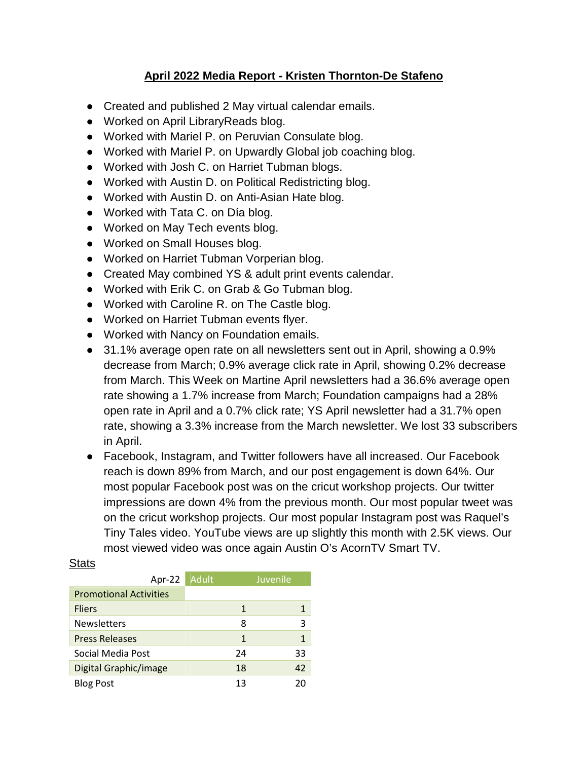## **April 2022 Media Report - Kristen Thornton-De Stafeno**

- Created and published 2 May virtual calendar emails.
- Worked on April LibraryReads blog.
- Worked with Mariel P. on Peruvian Consulate blog.
- Worked with Mariel P. on Upwardly Global job coaching blog.
- Worked with Josh C. on Harriet Tubman blogs.
- Worked with Austin D. on Political Redistricting blog.
- Worked with Austin D. on Anti-Asian Hate blog.
- Worked with Tata C. on Día blog.
- Worked on May Tech events blog.
- Worked on Small Houses blog.
- Worked on Harriet Tubman Vorperian blog.
- Created May combined YS & adult print events calendar.
- Worked with Erik C. on Grab & Go Tubman blog.
- Worked with Caroline R. on The Castle blog.
- Worked on Harriet Tubman events flyer.
- Worked with Nancy on Foundation emails.
- 31.1% average open rate on all newsletters sent out in April, showing a 0.9% decrease from March; 0.9% average click rate in April, showing 0.2% decrease from March. This Week on Martine April newsletters had a 36.6% average open rate showing a 1.7% increase from March; Foundation campaigns had a 28% open rate in April and a 0.7% click rate; YS April newsletter had a 31.7% open rate, showing a 3.3% increase from the March newsletter. We lost 33 subscribers in April.
- Facebook, Instagram, and Twitter followers have all increased. Our Facebook reach is down 89% from March, and our post engagement is down 64%. Our most popular Facebook post was on the cricut workshop projects. Our twitter impressions are down 4% from the previous month. Our most popular tweet was on the cricut workshop projects. Our most popular Instagram post was Raquel's Tiny Tales video. YouTube views are up slightly this month with 2.5K views. Our most viewed video was once again Austin O's AcornTV Smart TV.

| Apr-22                        | Adult | Juvenile |
|-------------------------------|-------|----------|
| <b>Promotional Activities</b> |       |          |
| <b>Fliers</b>                 | 1     |          |
| <b>Newsletters</b>            | 8     | ੨        |
| <b>Press Releases</b>         | 1     | 1        |
| Social Media Post             | 24    | 33       |
| Digital Graphic/image         | 18    | 42       |
| <b>Blog Post</b>              | 13    | 20       |

## **Stats**